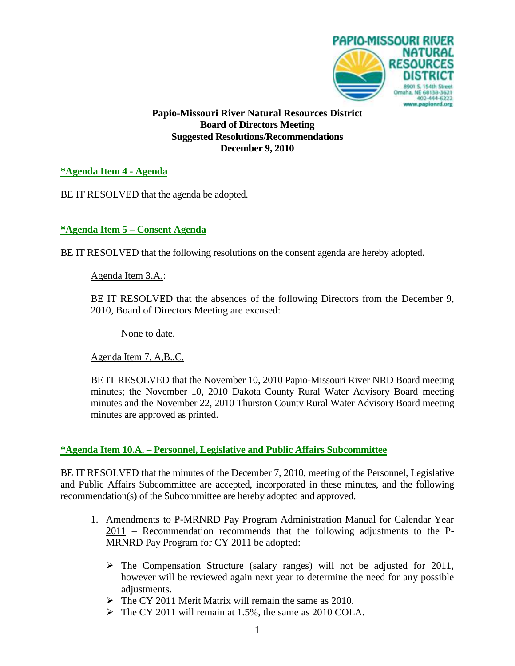

**Papio-Missouri River Natural Resources District Board of Directors Meeting Suggested Resolutions/Recommendations December 9, 2010**

## **\*Agenda Item 4 - Agenda**

BE IT RESOLVED that the agenda be adopted.

### **\*Agenda Item 5 – Consent Agenda**

BE IT RESOLVED that the following resolutions on the consent agenda are hereby adopted.

Agenda Item 3.A.:

BE IT RESOLVED that the absences of the following Directors from the December 9, 2010, Board of Directors Meeting are excused:

None to date.

Agenda Item 7. A,B.,C.

BE IT RESOLVED that the November 10, 2010 Papio-Missouri River NRD Board meeting minutes; the November 10, 2010 Dakota County Rural Water Advisory Board meeting minutes and the November 22, 2010 Thurston County Rural Water Advisory Board meeting minutes are approved as printed.

#### **\*Agenda Item 10.A. – Personnel, Legislative and Public Affairs Subcommittee**

BE IT RESOLVED that the minutes of the December 7, 2010, meeting of the Personnel, Legislative and Public Affairs Subcommittee are accepted, incorporated in these minutes, and the following recommendation(s) of the Subcommittee are hereby adopted and approved.

- 1. Amendments to P-MRNRD Pay Program Administration Manual for Calendar Year 2011 – Recommendation recommends that the following adjustments to the P-MRNRD Pay Program for CY 2011 be adopted:
	- $\triangleright$  The Compensation Structure (salary ranges) will not be adjusted for 2011, however will be reviewed again next year to determine the need for any possible adjustments.
	- $\triangleright$  The CY 2011 Merit Matrix will remain the same as 2010.
	- $\triangleright$  The CY 2011 will remain at 1.5%, the same as 2010 COLA.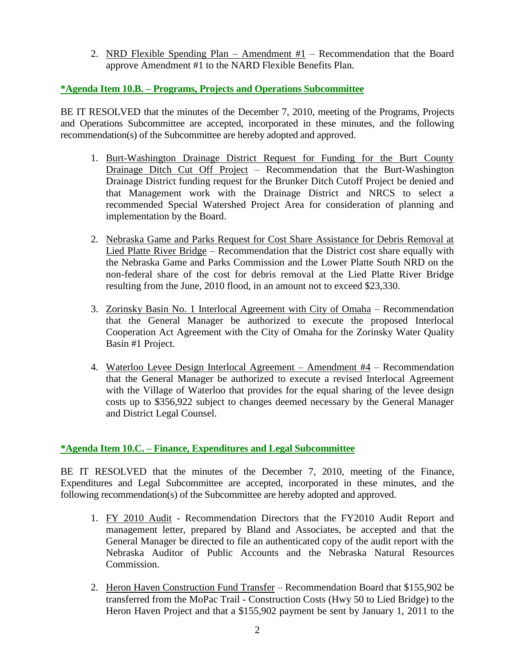2. NRD Flexible Spending Plan – Amendment  $#1$  – Recommendation that the Board approve Amendment #1 to the NARD Flexible Benefits Plan.

# **\*Agenda Item 10.B. – Programs, Projects and Operations Subcommittee**

BE IT RESOLVED that the minutes of the December 7, 2010, meeting of the Programs, Projects and Operations Subcommittee are accepted, incorporated in these minutes, and the following recommendation(s) of the Subcommittee are hereby adopted and approved.

- 1. Burt-Washington Drainage District Request for Funding for the Burt County Drainage Ditch Cut Off Project – Recommendation that the Burt-Washington Drainage District funding request for the Brunker Ditch Cutoff Project be denied and that Management work with the Drainage District and NRCS to select a recommended Special Watershed Project Area for consideration of planning and implementation by the Board.
- 2. Nebraska Game and Parks Request for Cost Share Assistance for Debris Removal at Lied Platte River Bridge – Recommendation that the District cost share equally with the Nebraska Game and Parks Commission and the Lower Platte South NRD on the non-federal share of the cost for debris removal at the Lied Platte River Bridge resulting from the June, 2010 flood, in an amount not to exceed \$23,330.
- 3. Zorinsky Basin No. 1 Interlocal Agreement with City of Omaha Recommendation that the General Manager be authorized to execute the proposed Interlocal Cooperation Act Agreement with the City of Omaha for the Zorinsky Water Quality Basin #1 Project.
- 4. Waterloo Levee Design Interlocal Agreement Amendment #4 Recommendation that the General Manager be authorized to execute a revised Interlocal Agreement with the Village of Waterloo that provides for the equal sharing of the levee design costs up to \$356,922 subject to changes deemed necessary by the General Manager and District Legal Counsel.

# **\*Agenda Item 10.C. – Finance, Expenditures and Legal Subcommittee**

BE IT RESOLVED that the minutes of the December 7, 2010, meeting of the Finance, Expenditures and Legal Subcommittee are accepted, incorporated in these minutes, and the following recommendation(s) of the Subcommittee are hereby adopted and approved.

- 1. FY 2010 Audit Recommendation Directors that the FY2010 Audit Report and management letter, prepared by Bland and Associates, be accepted and that the General Manager be directed to file an authenticated copy of the audit report with the Nebraska Auditor of Public Accounts and the Nebraska Natural Resources Commission.
- 2. Heron Haven Construction Fund Transfer Recommendation Board that \$155,902 be transferred from the MoPac Trail - Construction Costs (Hwy 50 to Lied Bridge) to the Heron Haven Project and that a \$155,902 payment be sent by January 1, 2011 to the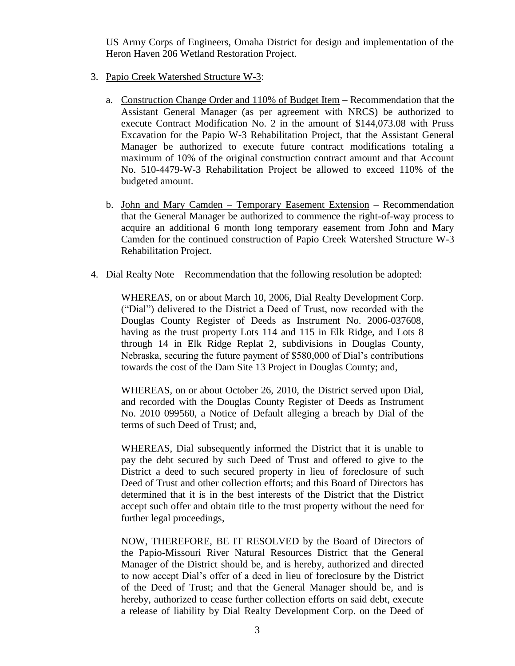US Army Corps of Engineers, Omaha District for design and implementation of the Heron Haven 206 Wetland Restoration Project.

- 3. Papio Creek Watershed Structure W-3:
	- a. Construction Change Order and 110% of Budget Item Recommendation that the Assistant General Manager (as per agreement with NRCS) be authorized to execute Contract Modification No. 2 in the amount of \$144,073.08 with Pruss Excavation for the Papio W-3 Rehabilitation Project, that the Assistant General Manager be authorized to execute future contract modifications totaling a maximum of 10% of the original construction contract amount and that Account No. 510-4479-W-3 Rehabilitation Project be allowed to exceed 110% of the budgeted amount.
	- b. John and Mary Camden Temporary Easement Extension Recommendation that the General Manager be authorized to commence the right-of-way process to acquire an additional 6 month long temporary easement from John and Mary Camden for the continued construction of Papio Creek Watershed Structure W-3 Rehabilitation Project.
- 4. Dial Realty Note Recommendation that the following resolution be adopted:

WHEREAS, on or about March 10, 2006, Dial Realty Development Corp. ("Dial") delivered to the District a Deed of Trust, now recorded with the Douglas County Register of Deeds as Instrument No. 2006-037608, having as the trust property Lots 114 and 115 in Elk Ridge, and Lots 8 through 14 in Elk Ridge Replat 2, subdivisions in Douglas County, Nebraska, securing the future payment of \$580,000 of Dial's contributions towards the cost of the Dam Site 13 Project in Douglas County; and,

WHEREAS, on or about October 26, 2010, the District served upon Dial, and recorded with the Douglas County Register of Deeds as Instrument No. 2010 099560, a Notice of Default alleging a breach by Dial of the terms of such Deed of Trust; and,

WHEREAS, Dial subsequently informed the District that it is unable to pay the debt secured by such Deed of Trust and offered to give to the District a deed to such secured property in lieu of foreclosure of such Deed of Trust and other collection efforts; and this Board of Directors has determined that it is in the best interests of the District that the District accept such offer and obtain title to the trust property without the need for further legal proceedings,

NOW, THEREFORE, BE IT RESOLVED by the Board of Directors of the Papio-Missouri River Natural Resources District that the General Manager of the District should be, and is hereby, authorized and directed to now accept Dial's offer of a deed in lieu of foreclosure by the District of the Deed of Trust; and that the General Manager should be, and is hereby, authorized to cease further collection efforts on said debt, execute a release of liability by Dial Realty Development Corp. on the Deed of